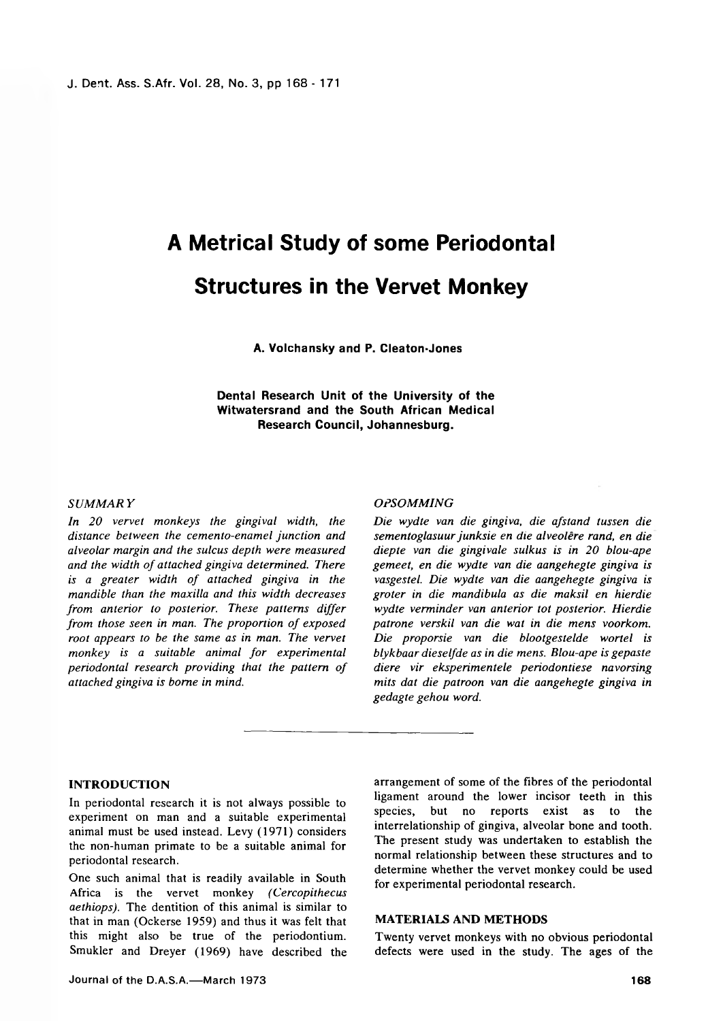# **A Metrical Study of some Periodontal Structures in the Vervet Monkey**

**A. Volchansky and P. Cleaton-Jones**

**Dental Research Unit of the University of the Witwatersrand and the South African Medical Research Council, Johannesburg.**

## *SUM MAR Y*

*In 20 vervet monkeys the gingival width, the distance between the cemento-enamel junction and alveolar margin and the sulcus depth were measured and the width of attached gingiva determined. There is a greater width of attached gingiva in the mandible than the maxilla and this width decreases from anterior to posterior. These patterns differ from those seen in man. The proportion of exposed root appears to be the same as in man. The vervet monkey is a suitable animal for experimental periodontal research providing that the pattern of attached gingiva is borne in mind.*

# *OPSOMMING*

*Die wydte van die gingiva, die afstand tussen die sementoglasuur junksie en die alveolere rand, en die diepte van die gingivale sulkus is in 20 blou-ape gemeet, en die wydte van die aangehegte gingiva is vasgestel. Die wydte van die aangehegte gingiva is groter in die mandibula as die maksil en hierdie wydte verminder van anterior tot posterior. Hierdie patrone verskil van die wat in die mens voorkom. Die proporsie van die blootgestelde wortel is blykbaar dieselfde as in die mens. Blou-ape is gepaste diere vir eksperimentele periodontiese navorsing mits dat die patroon van die aangehegte gingiva in gedagte gehou word.*

# INTRODUCTION

In periodontal research it is not always possible to experiment on man and a suitable experimental animal must be used instead. Levy (1971) considers the non-human primate to be a suitable animal for periodontal research.

One such animal that is readily available in South Africa is the vervet monkey *(Cercopithecus aethiops).* The dentition of this animal is similar to that in man (Ockerse 1959) and thus it was felt that this might also be true of the periodontium. Smukler and Dreyer (1969) have described the arrangement of some of the fibres of the periodontal ligament around the lower incisor teeth in this species, but no reports exist as to the interrelationship of gingiva, alveolar bone and tooth. The present study was undertaken to establish the normal relationship between these structures and to determine whether the vervet monkey could be used for experimental periodontal research.

# MATERIALS AND METHODS

Twenty vervet monkeys with no obvious periodontal defects were used in the study. The ages of the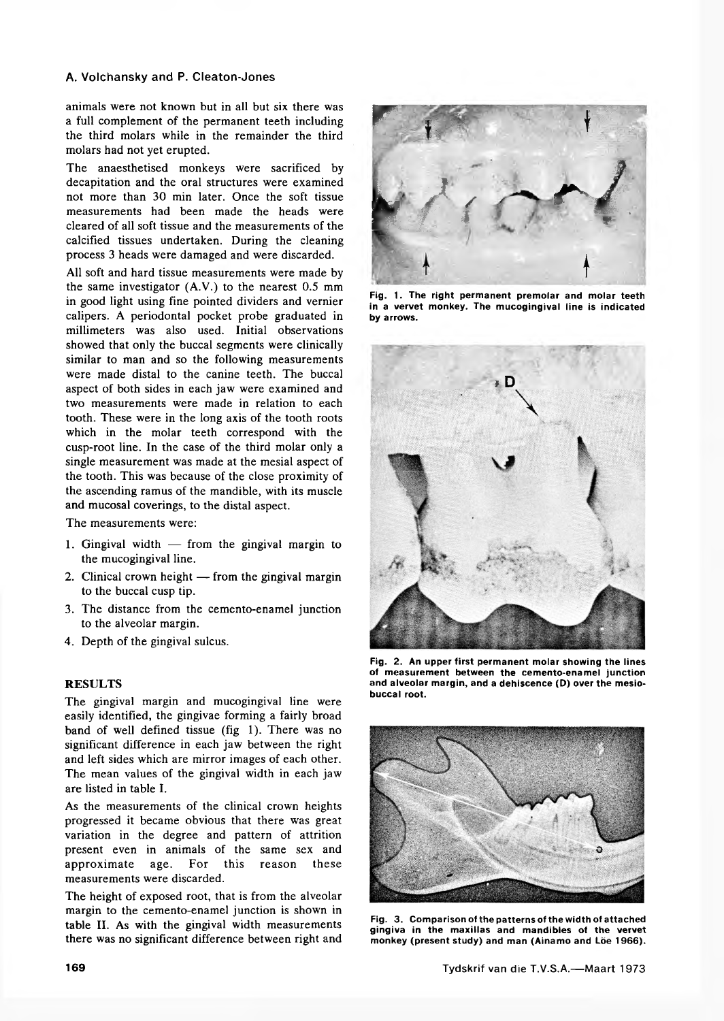# **A. Volchansky and P. Cleaton-Jones**

animals were not known but in all but six there was a full complement of the permanent teeth including the third molars while in the remainder the third molars had not yet erupted.

The anaesthetised monkeys were sacrificed by decapitation and the oral structures were examined not more than 30 min later. Once the soft tissue measurements had been made the heads were cleared of all soft tissue and the measurements of the calcified tissues undertaken. During the cleaning process 3 heads were damaged and were discarded.

All soft and hard tissue measurements were made by the same investigator (A.V.) to the nearest 0.5 mm in good light using fine pointed dividers and vernier calipers. A periodontal pocket probe graduated in millimeters was also used. Initial observations showed that only the buccal segments were clinically similar to man and so the following measurements were made distal to the canine teeth. The buccal aspect of both sides in each jaw were examined and two measurements were made in relation to each tooth. These were in the long axis of the tooth roots which in the molar teeth correspond with the cusp-root line. In the case of the third molar only a single measurement was made at the mesial aspect of the tooth. This was because of the close proximity of the ascending ramus of the mandible, with its muscle and mucosal coverings, to the distal aspect.

The measurements were:

- 1. Gingival width from the gingival margin to the mucogingival line.
- 2. Clinical crown height from the gingival margin to the buccal cusp tip.
- 3. The distance from the cemento-enamel junction to the alveolar margin.
- 4. Depth of the gingival sulcus.

# **RESULTS**

The gingival margin and mucogingival line were easily identified, the gingivae forming a fairly broad band of well defined tissue (fig 1). There was no significant difference in each jaw between the right and left sides which are mirror images of each other. The mean values of the gingival width in each jaw are listed in table I.

As the measurements of the clinical crown heights progressed it became obvious that there was great variation in the degree and pattern of attrition present even in animals of the same sex and approximate age. For this reason these measurements were discarded.

The height of exposed root, that is from the alveolar margin to the cemento-enamel junction is shown in table II. As with the gingival width measurements there was no significant difference between right and



**Fig. 1. The right permanent premolar and molar teeth in a vervet monkey. The mucogingival line is indicated by arrows.**



**Fig. 2. An upper first permanent molar showing the lines of measurement between the cemento-enamel junction and alveolar margin, and a dehiscence (D) over the mesiobuccal root.**



**Fig. 3. Comparison of the patterns of the width of attached gingiva in the maxillas and mandibles of the vervet** monkey (present study) and man (Ainamo and Löe 1966).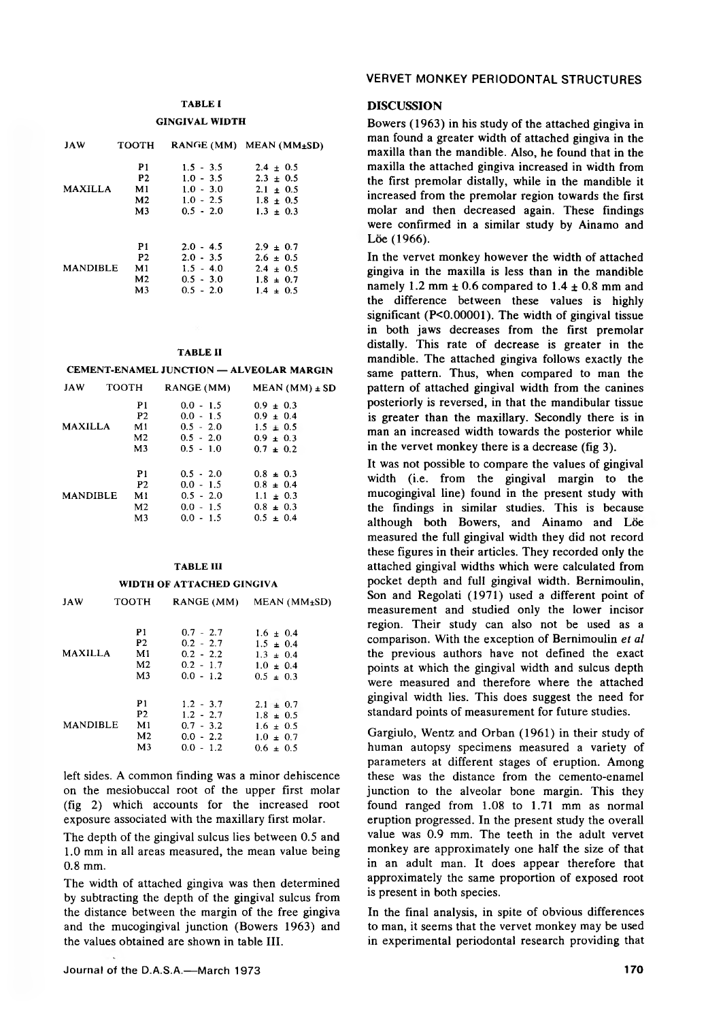# **TABLE I GINGIVAL WIDTH**

| <b>JAW</b>      | <b>TOOTH</b>   |             | RANGE (MM) MEAN (MM $_{\pm}$ SD) |
|-----------------|----------------|-------------|----------------------------------|
|                 | P1             | $1.5 - 3.5$ | $2.4 \pm 0.5$                    |
|                 | <b>P2</b>      | $1.0 - 3.5$ | $2.3 \pm 0.5$                    |
| <b>MAXILLA</b>  | M1             | $1.0 - 3.0$ | $2.1 \pm 0.5$                    |
|                 | M <sub>2</sub> | $1.0 - 2.5$ | $1.8 \pm 0.5$                    |
|                 | M3             | $0.5 - 2.0$ | $1.3 \pm 0.3$                    |
|                 | P1             | $2.0 - 4.5$ | $2.9 \pm 0.7$                    |
| <b>MANDIBLE</b> | <b>P2</b>      | $2.0 - 3.5$ | $2.6 \pm 0.5$                    |
|                 | M1             | $1.5 - 4.0$ | $2.4 \pm 0.5$                    |
|                 | M2             | $0.5 - 3.0$ | $1.8 \pm 0.7$                    |
|                 | M <sub>3</sub> | $0.5 - 2.0$ | $1.4 \pm 0.5$                    |

#### **TABLE II**

**CEMENT-ENAMEL JUNCTION — ALVEOLAR MARGIN**

| <b>JAW</b>      | <b>TOOTH</b>   | RANGE (MM)  | $MEAN$ (MM) $\pm$ SD |
|-----------------|----------------|-------------|----------------------|
|                 | P1             | $0.0 - 1.5$ | $0.9 \pm 0.3$        |
|                 | P <sub>2</sub> | $0.0 - 1.5$ | $0.9 \pm 0.4$        |
| <b>MAXILLA</b>  | M1             | $0.5 - 2.0$ | $1.5 \pm 0.5$        |
|                 | M <sub>2</sub> | $0.5 - 2.0$ | $0.9 \pm 0.3$        |
|                 | M <sub>3</sub> | $0.5 - 1.0$ | $0.7 \pm 0.2$        |
|                 | P1             | $0.5 - 2.0$ | $0.8 \pm 0.3$        |
|                 | P <sub>2</sub> | $0.0 - 1.5$ | $0.8 \pm 0.4$        |
| <b>MANDIBLE</b> | M1.            | $0.5 - 2.0$ | $1.1 \pm 0.3$        |
|                 | M2             | $0.0 - 1.5$ | $0.8 \pm 0.3$        |
|                 | M3             | $0.0 - 1.5$ | $0.5 \pm 0.4$        |
|                 |                |             |                      |

# **TABLE III WIDTH OF ATTACHED GINGIVA**

| JAW             | тоотн          | RANGE (MM)  | $MEAN$ ( $MM±SD$ ) |
|-----------------|----------------|-------------|--------------------|
| <b>MAXILLA</b>  | P1             | $0.7 - 2.7$ | $1.6 \pm 0.4$      |
|                 | P <sub>2</sub> | $0.2 - 2.7$ | $1.5 \pm 0.4$      |
|                 | M1             | $0.2 - 2.2$ | $1.3 \pm 0.4$      |
|                 | M <sub>2</sub> | $0.2 - 1.7$ | $1.0 \pm 0.4$      |
|                 | M <sub>3</sub> | $0.0 - 1.2$ | $0.5 \pm 0.3$      |
| <b>MANDIBLE</b> | P1             | $1.2 - 3.7$ | $2.1 \pm 0.7$      |
|                 | P2             | $1.2 - 2.7$ | $1.8 \pm 0.5$      |
|                 | M1             | $0.7 - 3.2$ | $1.6 \pm 0.5$      |
|                 | M <sub>2</sub> | $0.0 - 2.2$ | $1.0 \pm 0.7$      |
|                 | M <sub>3</sub> | $0.0 - 1.2$ | $0.6 \pm 0.5$      |

left sides. A common finding was a minor dehiscence on the mesiobuccal root of the upper first molar (fig 2) which accounts for the increased root exposure associated with the maxillary first molar.

The depth of the gingival sulcus lies between 0.5 and 1.0 mm in all areas measured, the mean value being 0.8 mm.

The width of attached gingiva was then determined by subtracting the depth of the gingival sulcus from the distance between the margin of the free gingiva and the mucogingival junction (Bowers 1963) and the values obtained are shown in table III.

# **VERVET MONKEY PERIODONTAL STRUCTURES**

# DISCUSSION

Bowers (1963) in his study of the attached gingiva in man found a greater width of attached gingiva in the maxilla than the mandible. Also, he found that in the maxilla the attached gingiva increased in width from the first premolar distally, while in the mandible it increased from the premolar region towards the first molar and then decreased again. These findings were confirmed in a similar study by Ainamo and Löe (1966).

In the vervet monkey however the width of attached gingiva in the maxilla is less than in the mandible namely 1.2 mm  $\pm$  0.6 compared to 1.4  $\pm$  0.8 mm and the difference between these values is highly significant (P<0.00001). The width of gingival tissue in both jaws decreases from the first premolar distally. This rate of decrease is greater in the mandible. The attached gingiva follows exactly the same pattern. Thus, when compared to man the pattern of attached gingival width from the canines posteriorly is reversed, in that the mandibular tissue is greater than the maxillary. Secondly there is in man an increased width towards the posterior while in the vervet monkey there is a decrease (fig 3).

It was not possible to compare the values of gingival width (i.e. from the gingival margin to the mucogingival line) found in the present study with the findings in similar studies. This is because although both Bowers, and Ainamo and Löe measured the full gingival width they did not record these figures in their articles. They recorded only the attached gingival widths which were calculated from pocket depth and full gingival width. Bernimoulin, Son and Regolati (1971) used a different point of measurement and studied only the lower incisor region. Their study can also not be used as a comparison. With the exception of Bernimoulin *et al* the previous authors have not defined the exact points at which the gingival width and sulcus depth were measured and therefore where the attached gingival width lies. This does suggest the need for standard points of measurement for future studies.

Gargiulo, Wentz and Orban (1961) in their study of human autopsy specimens measured a variety of parameters at different stages of eruption. Among these was the distance from the cemento-enamel junction to the alveolar bone margin. This they found ranged from 1.08 to 1.71 mm as normal eruption progressed. In the present study the overall value was 0.9 mm. The teeth in the adult vervet monkey are approximately one half the size of that in an adult man. It does appear therefore that approximately the same proportion of exposed root is present in both species.

In the final analysis, in spite of obvious differences to man, it seems that the vervet monkey may be used in experimental periodontal research providing that